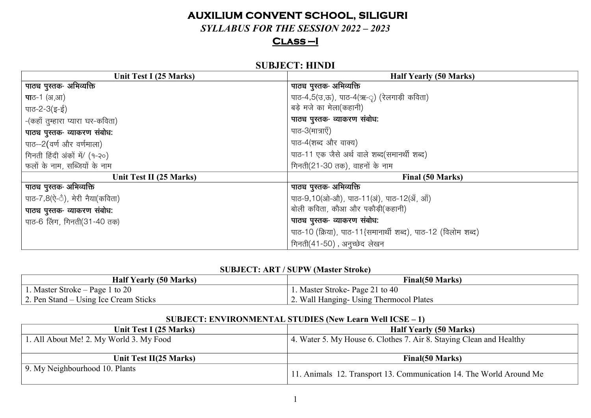## **AUXILIUM CONVENT SCHOOL, SILIGURI**

SYLLABUS FOR THE SESSION  $2022 - 2023$ 

## $CLASS-I$

## **SUBJECT: HINDI**

| Unit Test I (25 Marks)           | <b>Half Yearly (50 Marks)</b>                                |
|----------------------------------|--------------------------------------------------------------|
| पाठ्य पुस्तक- अभिव्यक्ति         | पाठ्य पुस्तक- अभिव्यक्ति                                     |
| <b>पा</b> ठ-1 (अ,आ)              | पाठ-4,5(उ,ऊ), पाठ-4(ऋ-ृ) (रेलगाड़ी कविता)                    |
| पाठ-2-3(इ-ई)                     | बड़े मजे का मेला(कहानी)                                      |
| -(कहाँ तुम्हारा प्यारा घर-कविता) | पाठ्य पुस्तक- व्याकरण संबोध:                                 |
| पाठ्य पुस्तक- व्याकरण संबोध:     | पाठ-3(मात्राएँ)                                              |
| पाठ--2(वर्ण और वर्णमाला)         | पाठ-4(शब्द और वाक्य)                                         |
| गिनती हिंदी अंकों में/ (१-२०)    | पाठ-11 एक जैसे अर्थ वाले शब्द(समानर्थी शब्द)                 |
| फलों के नाम, सब्जियों के नाम     | गिनती(21-30 तक), वाहनों के नाम                               |
| Unit Test II (25 Marks)          | Final (50 Marks)                                             |
| पाठ्य पुस्तक- अभिव्यक्ति         | पाठ्य पुस्तक- अभिव्यक्ति                                     |
| पाठ-7,8(ऐ-ै), मेरी नैया(कविता)   | पाठ-9,10(ओ-औ), पाठ-11(अं), पाठ-12(अँ, आँ)                    |
| पाठ्य पुस्तक- व्याकरण संबोध:     | बोली कविता, कौआ और पकौड़ी(कहानी)                             |
| पाठ-6 लिंग, गिनती(31-40 तक)      | पाठ्य पुस्तक- व्याकरण संबोध:                                 |
|                                  | पाठ-10 (क्रिया), पाठ-11{समानार्थी शब्द), पाठ-12 (विलोम शब्द) |
|                                  | गिनती(41-50), अनुच्छेद लेखन                                  |

#### **SUBJECT: ART / SUPW (Master Stroke)**

| <b>Half Yearly (50 Marks)</b>         | <b>Final(50 Marks)</b>                  |
|---------------------------------------|-----------------------------------------|
| 1. Master Stroke – Page 1 to 20       | 1. Master Stroke-Page 21 to 40          |
| 2. Pen Stand – Using Ice Cream Sticks | 2. Wall Hanging- Using Thermocol Plates |

#### SUBJECT: ENVIRONMENTAL STUDIES (New Learn Well ICSE  $-1$ )

| Unit Test I (25 Marks)                  | <b>Half Yearly (50 Marks)</b>                                       |
|-----------------------------------------|---------------------------------------------------------------------|
| 1. All About Me! 2. My World 3. My Food | 4. Water 5. My House 6. Clothes 7. Air 8. Staying Clean and Healthy |
|                                         |                                                                     |
|                                         |                                                                     |
| Unit Test II(25 Marks)                  | <b>Final</b> (50 Marks)                                             |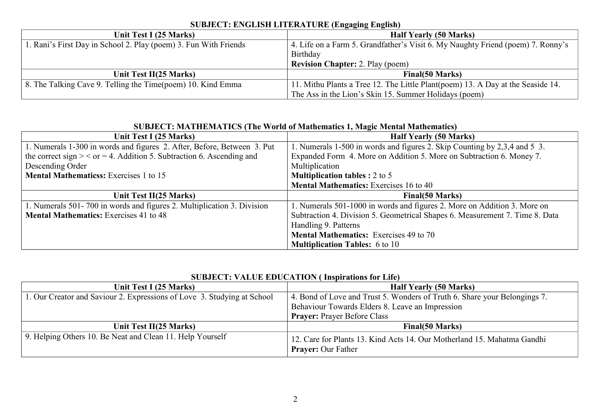| Unit Test I (25 Marks)                                           | .<br><b>Half Yearly (50 Marks)</b>                                              |
|------------------------------------------------------------------|---------------------------------------------------------------------------------|
| 1. Rani's First Day in School 2. Play (poem) 3. Fun With Friends | 4. Life on a Farm 5. Grandfather's Visit 6. My Naughty Friend (poem) 7. Ronny's |
|                                                                  | Birthday                                                                        |
|                                                                  | <b>Revision Chapter: 2. Play (poem)</b>                                         |
| Unit Test II(25 Marks)                                           | <b>Final</b> (50 Marks)                                                         |
| 8. The Talking Cave 9. Telling the Time(poem) 10. Kind Emma      | 11. Mithu Plants a Tree 12. The Little Plant(poem) 13. A Day at the Seaside 14. |
|                                                                  | The Ass in the Lion's Skin 15. Summer Holidays (poem)                           |

#### **SUBJECT: ENGLISH LITERATURE (Engaging English)**

| SUBJECT: MATHEMATICS (The World of Mathematics 1, Magic Mental Mathematics) |                                                                              |
|-----------------------------------------------------------------------------|------------------------------------------------------------------------------|
| Unit Test I (25 Marks)                                                      | <b>Half Yearly (50 Marks)</b>                                                |
| 1. Numerals 1-300 in words and figures 2. After, Before, Between 3. Put     | 1. Numerals 1-500 in words and figures 2. Skip Counting by 2,3,4 and 5 3.    |
| the correct sign $>$ < or = 4. Addition 5. Subtraction 6. Ascending and     | Expanded Form 4. More on Addition 5. More on Subtraction 6. Money 7.         |
| Descending Order                                                            | Multiplication                                                               |
| <b>Mental Mathematicss:</b> Exercises 1 to 15                               | <b>Multiplication tables : 2 to 5</b>                                        |
|                                                                             | <b>Mental Mathematics:</b> Exercises 16 to 40                                |
| Unit Test II(25 Marks)                                                      | Final(50 Marks)                                                              |
| 1. Numerals 501-700 in words and figures 2. Multiplication 3. Division      | 1. Numerals 501-1000 in words and figures 2. More on Addition 3. More on     |
| <b>Mental Mathematics:</b> Exercises 41 to 48                               | Subtraction 4. Division 5. Geometrical Shapes 6. Measurement 7. Time 8. Data |
|                                                                             | Handling 9. Patterns                                                         |
|                                                                             | <b>Mental Mathematics:</b> Exercises 49 to 70                                |
|                                                                             | <b>Multiplication Tables:</b> 6 to 10                                        |

#### SUBJECT: MATHEMATICS (The World of Mathematics)<sup></sup> **1, Mathematics**

## **SUBJECT: VALUE EDUCATION ( Inspirations for Life)**

| Unit Test I (25 Marks)                                                  | <b>Half Yearly (50 Marks)</b>                                                                        |
|-------------------------------------------------------------------------|------------------------------------------------------------------------------------------------------|
| 1. Our Creator and Saviour 2. Expressions of Love 3. Studying at School | 4. Bond of Love and Trust 5. Wonders of Truth 6. Share your Belongings 7.                            |
|                                                                         | Behaviour Towards Elders 8. Leave an Impression                                                      |
|                                                                         | <b>Prayer: Prayer Before Class</b>                                                                   |
| Unit Test II(25 Marks)                                                  | <b>Final</b> (50 Marks)                                                                              |
| 9. Helping Others 10. Be Neat and Clean 11. Help Yourself               | 12. Care for Plants 13. Kind Acts 14. Our Motherland 15. Mahatma Gandhi<br><b>Prayer: Our Father</b> |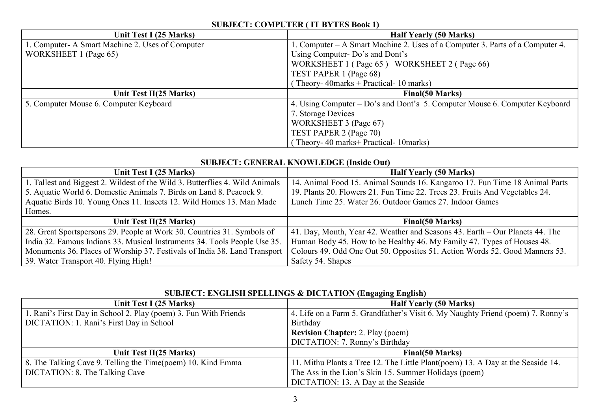#### **SUBJECT: COMPUTER ( IT BYTES Book 1)**

| Unit Test I (25 Marks)                           | <b>Half Yearly (50 Marks)</b>                                                 |
|--------------------------------------------------|-------------------------------------------------------------------------------|
| 1. Computer- A Smart Machine 2. Uses of Computer | 1. Computer – A Smart Machine 2. Uses of a Computer 3. Parts of a Computer 4. |
| WORKSHEET 1 (Page 65)                            | Using Computer-Do's and Dont's                                                |
|                                                  | WORKSHEET 1 (Page 65) WORKSHEET 2 (Page 66)                                   |
|                                                  | TEST PAPER 1 (Page 68)                                                        |
|                                                  | Theory-40marks + Practical-10 marks)                                          |
| Unit Test II(25 Marks)                           | Final(50 Marks)                                                               |
| 5. Computer Mouse 6. Computer Keyboard           | 4. Using Computer – Do's and Dont's 5. Computer Mouse 6. Computer Keyboard    |
|                                                  | 7. Storage Devices                                                            |
|                                                  | WORKSHEET 3 (Page 67)                                                         |
|                                                  | TEST PAPER 2 (Page 70)                                                        |
|                                                  | Theory- 40 marks+ Practical- 10 marks)                                        |

#### **SUBJECT: GENERAL KNOWLEDGE (Inside Out)**

| Unit Test I (25 Marks)                                                       | <b>Half Yearly (50 Marks)</b>                                                |
|------------------------------------------------------------------------------|------------------------------------------------------------------------------|
| 1. Tallest and Biggest 2. Wildest of the Wild 3. Butterflies 4. Wild Animals | 14. Animal Food 15. Animal Sounds 16. Kangaroo 17. Fun Time 18 Animal Parts  |
| 5. Aquatic World 6. Domestic Animals 7. Birds on Land 8. Peacock 9.          | 19. Plants 20. Flowers 21. Fun Time 22. Trees 23. Fruits And Vegetables 24.  |
| Aquatic Birds 10. Young Ones 11. Insects 12. Wild Homes 13. Man Made         | Lunch Time 25. Water 26. Outdoor Games 27. Indoor Games                      |
| Homes.                                                                       |                                                                              |
| Unit Test II(25 Marks)                                                       | <b>Final</b> (50 Marks)                                                      |
| 28. Great Sportspersons 29. People at Work 30. Countries 31. Symbols of      | 41. Day, Month, Year 42. Weather and Seasons 43. Earth – Our Planets 44. The |
| India 32. Famous Indians 33. Musical Instruments 34. Tools People Use 35.    | Human Body 45. How to be Healthy 46. My Family 47. Types of Houses 48.       |
| Monuments 36. Places of Worship 37. Festivals of India 38. Land Transport    | Colours 49. Odd One Out 50. Opposites 51. Action Words 52. Good Manners 53.  |
| 39. Water Transport 40. Flying High!                                         | Safety 54. Shapes                                                            |

## **SUBJECT: ENGLISH SPELLINGS & DICTATION (Engaging English)**

| Unit Test I (25 Marks)                                           | <b>Half Yearly (50 Marks)</b>                                                   |
|------------------------------------------------------------------|---------------------------------------------------------------------------------|
| 1. Rani's First Day in School 2. Play (poem) 3. Fun With Friends | 4. Life on a Farm 5. Grandfather's Visit 6. My Naughty Friend (poem) 7. Ronny's |
| DICTATION: 1. Rani's First Day in School                         | Birthday                                                                        |
|                                                                  | <b>Revision Chapter: 2. Play (poem)</b>                                         |
|                                                                  | DICTATION: 7. Ronny's Birthday                                                  |
| Unit Test II(25 Marks)                                           | Final(50 Marks)                                                                 |
| 8. The Talking Cave 9. Telling the Time(poem) 10. Kind Emma      | 11. Mithu Plants a Tree 12. The Little Plant(poem) 13. A Day at the Seaside 14. |
| DICTATION: 8. The Talking Cave                                   | The Ass in the Lion's Skin 15. Summer Holidays (poem)                           |
|                                                                  | DICTATION: 13. A Day at the Seaside                                             |